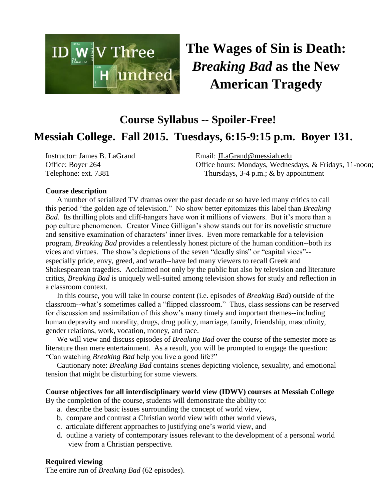

**The Wages of Sin is Death:** *Breaking Bad* **as the New American Tragedy**

# **Course Syllabus -- Spoiler-Free! Messiah College. Fall 2015. Tuesdays, 6:15-9:15 p.m. Boyer 131.**

Instructor: James B. LaGrand Office: Boyer 264 Telephone: ext. 7381

Email: [JLaGrand@messiah.edu](mailto:JLaGrand@messiah.edu) Office hours: Mondays, Wednesdays, & Fridays, 11-noon; Thursdays, 3-4 p.m.; & by appointment

## **Course description**

A number of serialized TV dramas over the past decade or so have led many critics to call this period "the golden age of television." No show better epitomizes this label than *Breaking Bad*. Its thrilling plots and cliff-hangers have won it millions of viewers. But it's more than a pop culture phenomenon. Creator Vince Gilligan's show stands out for its novelistic structure and sensitive examination of characters' inner lives. Even more remarkable for a television program, *Breaking Bad* provides a relentlessly honest picture of the human condition--both its vices and virtues. The show's depictions of the seven "deadly sins" or "capital vices"- especially pride, envy, greed, and wrath--have led many viewers to recall Greek and Shakespearean tragedies. Acclaimed not only by the public but also by television and literature critics, *Breaking Bad* is uniquely well-suited among television shows for study and reflection in a classroom context.

In this course, you will take in course content (i.e. episodes of *Breaking Bad*) outside of the classroom--what's sometimes called a "flipped classroom." Thus, class sessions can be reserved for discussion and assimilation of this show's many timely and important themes--including human depravity and morality, drugs, drug policy, marriage, family, friendship, masculinity, gender relations, work, vocation, money, and race.

We will view and discuss episodes of *Breaking Bad* over the course of the semester more as literature than mere entertainment. As a result, you will be prompted to engage the question: "Can watching *Breaking Bad* help you live a good life?"

Cautionary note: *Breaking Bad* contains scenes depicting violence, sexuality, and emotional tension that might be disturbing for some viewers.

#### **Course objectives for all interdisciplinary world view (IDWV) courses at Messiah College**

By the completion of the course, students will demonstrate the ability to:

- a. describe the basic issues surrounding the concept of world view,
- b. compare and contrast a Christian world view with other world views,
- c. articulate different approaches to justifying one's world view, and
- d. outline a variety of contemporary issues relevant to the development of a personal world view from a Christian perspective.

#### **Required viewing**

The entire run of *Breaking Bad* (62 episodes).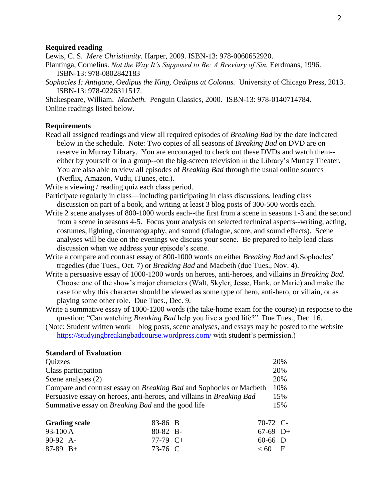#### **Required reading**

Lewis, C. S. *Mere Christianity.* Harper, 2009. ISBN-13: 978-0060652920.

- Plantinga, Cornelius. *Not the Way It's Supposed to Be: A Breviary of Sin.* Eerdmans, 1996. ISBN-13: 978-0802842183
- *Sophocles I: Antigone, Oedipus the King, Oedipus at Colonus.* University of Chicago Press, 2013. ISBN-13: 978-0226311517.

Shakespeare, William. *Macbeth.* Penguin Classics, 2000. ISBN-13: 978-0140714784. Online readings listed below.

#### **Requirements**

Read all assigned readings and view all required episodes of *Breaking Bad* by the date indicated below in the schedule. Note: Two copies of all seasons of *Breaking Bad* on DVD are on reserve in Murray Library. You are encouraged to check out these DVDs and watch them- either by yourself or in a group--on the big-screen television in the Library's Murray Theater. You are also able to view all episodes of *Breaking Bad* through the usual online sources (Netflix, Amazon, Vudu, iTunes, etc.).

Write a viewing / reading quiz each class period.

- Participate regularly in class—including participating in class discussions, leading class discussion on part of a book, and writing at least 3 blog posts of 300-500 words each.
- Write 2 scene analyses of 800-1000 words each--the first from a scene in seasons 1-3 and the second from a scene in seasons 4-5. Focus your analysis on selected technical aspects--writing, acting, costumes, lighting, cinematography, and sound (dialogue, score, and sound effects). Scene analyses will be due on the evenings we discuss your scene. Be prepared to help lead class discussion when we address your episode's scene.
- Write a compare and contrast essay of 800-1000 words on either *Breaking Bad* and Sophocles' tragedies (due Tues., Oct. 7) or *Breaking Bad* and Macbeth (due Tues., Nov. 4).
- Write a persuasive essay of 1000-1200 words on heroes, anti-heroes, and villains in *Breaking Bad*. Choose one of the show's major characters (Walt, Skyler, Jesse, Hank, or Marie) and make the case for why this character should be viewed as some type of hero, anti-hero, or villain, or as playing some other role. Due Tues., Dec. 9.
- Write a summative essay of 1000-1200 words (the take-home exam for the course) in response to the question: "Can watching *Breaking Bad* help you live a good life?" Due Tues., Dec. 16.
- (Note: Student written work blog posts, scene analyses, and essays may be posted to the website <https://studyingbreakingbadcourse.wordpress.com/> with student's permission.)

## **Standard of Evaluation**

| Quizzes                                                                    | 20% |
|----------------------------------------------------------------------------|-----|
| Class participation                                                        | 20% |
| Scene analyses (2)                                                         | 20% |
| Compare and contrast essay on <i>Breaking Bad</i> and Sophocles or Macbeth | 10% |
| Persuasive essay on heroes, anti-heroes, and villains in Breaking Bad      | 15% |
| Summative essay on <i>Breaking Bad</i> and the good life                   | 15% |
|                                                                            |     |

| <b>Grading scale</b> | 83-86 B         | 70-72 C-   |  |
|----------------------|-----------------|------------|--|
| 93-100 A             | $80-82$ B-      | $67-69$ D+ |  |
| $90-92$ A-           | 77-79 $C_{\pm}$ | $60-66$ D  |  |
| $87-89$ B+           | 73-76 C         | $<60$ F    |  |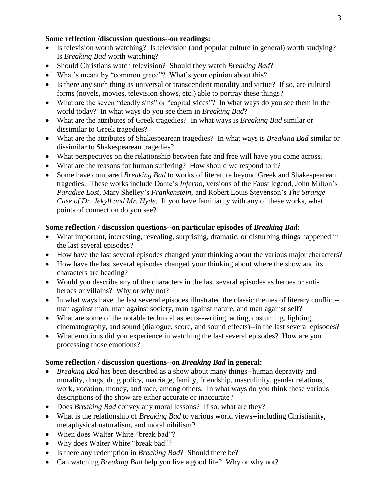## **Some reflection /discussion questions--on readings:**

- Is television worth watching? Is television (and popular culture in general) worth studying? Is *Breaking Bad* worth watching?
- Should Christians watch television? Should they watch *Breaking Bad*?
- What's meant by "common grace"? What's your opinion about this?
- Is there any such thing as universal or transcendent morality and virtue? If so, are cultural forms (novels, movies, television shows, etc.) able to portray these things?
- What are the seven "deadly sins" or "capital vices"? In what ways do you see them in the world today? In what ways do you see them in *Breaking Bad*?
- What are the attributes of Greek tragedies? In what ways is *Breaking Bad* similar or dissimilar to Greek tragedies?
- What are the attributes of Shakespearean tragedies? In what ways is *Breaking Bad* similar or dissimilar to Shakespearean tragedies?
- What perspectives on the relationship between fate and free will have you come across?
- What are the reasons for human suffering? How should we respond to it?
- Some have compared *Breaking Bad* to works of literature beyond Greek and Shakespearean tragedies. These works include Dante's *Inferno*, versions of the Faust legend, John Milton's *Paradise Lost*, Mary Shelley's *Frankenstein*, and Robert Louis Stevenson's *The Strange Case of Dr. Jekyll and Mr. Hyde*. If you have familiarity with any of these works, what points of connection do you see?

## **Some reflection / discussion questions--on particular episodes of** *Breaking Bad:*

- What important, interesting, revealing, surprising, dramatic, or disturbing things happened in the last several episodes?
- How have the last several episodes changed your thinking about the various major characters?
- How have the last several episodes changed your thinking about where the show and its characters are heading?
- Would you describe any of the characters in the last several episodes as heroes or antiheroes or villains? Why or why not?
- In what ways have the last several episodes illustrated the classic themes of literary conflict- man against man, man against society, man against nature, and man against self?
- What are some of the notable technical aspects--writing, acting, costuming, lighting, cinematography, and sound (dialogue, score, and sound effects)--in the last several episodes?
- What emotions did you experience in watching the last several episodes? How are you processing those emotions?

## **Some reflection / discussion questions--on** *Breaking Bad* **in general:**

- *Breaking Bad* has been described as a show about many things--human depravity and morality, drugs, drug policy, marriage, family, friendship, masculinity, gender relations, work, vocation, money, and race, among others. In what ways do you think these various descriptions of the show are either accurate or inaccurate?
- Does *Breaking Bad* convey any moral lessons? If so, what are they?
- What is the relationship of *Breaking Bad* to various world views--including Christianity, metaphysical naturalism, and moral nihilism?
- When does Walter White "break bad"?
- Why does Walter White "break bad"?
- Is there any redemption in *Breaking Bad*? Should there be?
- Can watching *Breaking Bad* help you live a good life? Why or why not?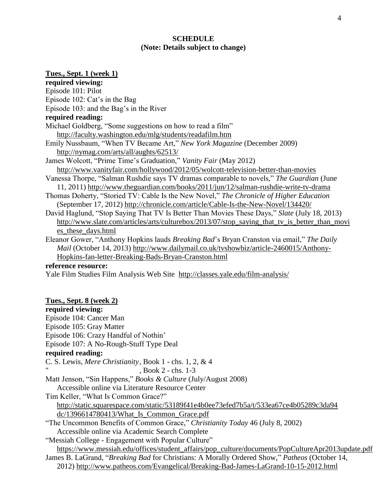## **SCHEDULE (Note: Details subject to change)**

# **Tues., Sept. 1 (week 1) required viewing:**  Episode 101: Pilot Episode 102: Cat's in the Bag Episode 103: and the Bag's in the River **required reading:** Michael Goldberg, "Some suggestions on how to read a film" <http://faculty.washington.edu/mlg/students/readafilm.htm> Emily Nussbaum, "When TV Became Art," *New York Magazine* (December 2009) <http://nymag.com/arts/all/aughts/62513/> James Wolcott, "Prime Time's Graduation," *Vanity Fair* (May 2012) <http://www.vanityfair.com/hollywood/2012/05/wolcott-television-better-than-movies> Vanessa Thorpe, "Salman Rushdie says TV dramas comparable to novels," *The Guardian* (June 11, 2011)<http://www.theguardian.com/books/2011/jun/12/salman-rushdie-write-tv-drama> Thomas Doherty, "Storied TV: Cable Is the New Novel," *The Chronicle of Higher Education* (September 17, 2012)<http://chronicle.com/article/Cable-Is-the-New-Novel/134420/> David Haglund, "Stop Saying That TV Is Better Than Movies These Days," *Slate* (July 18, 2013) [http://www.slate.com/articles/arts/culturebox/2013/07/stop\\_saying\\_that\\_tv\\_is\\_better\\_than\\_movi](http://www.slate.com/articles/arts/culturebox/2013/07/stop_saying_that_tv_is_better_than_movies_these_days.html) [es\\_these\\_days.html](http://www.slate.com/articles/arts/culturebox/2013/07/stop_saying_that_tv_is_better_than_movies_these_days.html) Eleanor Gower, "Anthony Hopkins lauds *Breaking Bad*'s Bryan Cranston via email," *The Daily Mail* (October 14, 2013) [http://www.dailymail.co.uk/tvshowbiz/article-2460015/Anthony-](http://www.dailymail.co.uk/tvshowbiz/article-2460015/Anthony-Hopkins-fan-letter-Breaking-Bads-Bryan-Cranston.html)[Hopkins-fan-letter-Breaking-Bads-Bryan-Cranston.html](http://www.dailymail.co.uk/tvshowbiz/article-2460015/Anthony-Hopkins-fan-letter-Breaking-Bads-Bryan-Cranston.html) **reference resource:** Yale Film Studies Film Analysis Web Site <http://classes.yale.edu/film-analysis/> **Tues., Sept. 8 (week 2) required viewing:** Episode 104: Cancer Man Episode 105: Gray Matter Episode 106: Crazy Handful of Nothin' Episode 107: A No-Rough-Stuff Type Deal **required reading:** C. S. Lewis, *Mere Christianity*, Book 1 - chs. 1, 2, & 4 , Book 2 - chs. 1-3 Matt Jenson, "Sin Happens," *Books & Culture* (July/August 2008) Accessible online via Literature Resource Center Tim Keller, "What Is Common Grace?" [http://static.squarespace.com/static/53189f41e4b0ee73efed7b5a/t/533ea67ce4b05289c3da94](http://static.squarespace.com/static/53189f41e4b0ee73efed7b5a/t/533ea67ce4b05289c3da94dc/1396614780413/What_Is_Common_Grace.pdf) [dc/1396614780413/What\\_Is\\_Common\\_Grace.pdf](http://static.squarespace.com/static/53189f41e4b0ee73efed7b5a/t/533ea67ce4b05289c3da94dc/1396614780413/What_Is_Common_Grace.pdf) "The Uncommon Benefits of Common Grace," *Christianity Today* 46 (July 8, 2002) Accessible online via Academic Search Complete "Messiah College - Engagement with Popular Culture" [https://www.messiah.edu/offices/student\\_affairs/pop\\_culture/documents/PopCultureApr2013update.pdf](https://www.messiah.edu/offices/student_affairs/pop_culture/documents/PopCultureApr2013update.pdf) James B. LaGrand, "*Breaking Bad* for Christians: A Morally Ordered Show," *Patheos* (October 14,

2012) <http://www.patheos.com/Evangelical/Breaking-Bad-James-LaGrand-10-15-2012.html>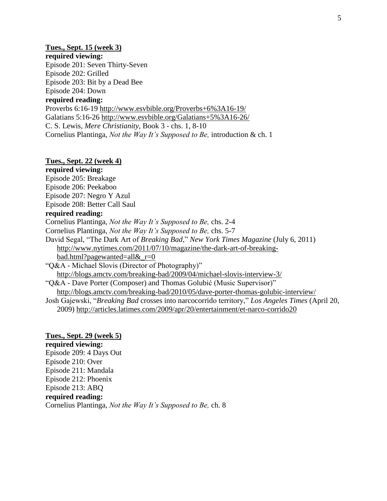#### **Tues., Sept. 15 (week 3)**

## **required viewing:**

Episode 201: Seven Thirty-Seven Episode 202: Grilled Episode 203: Bit by a Dead Bee Episode 204: Down

## **required reading:**

Proverbs 6:16-19<http://www.esvbible.org/Proverbs+6%3A16-19/> Galatians 5:16-26<http://www.esvbible.org/Galatians+5%3A16-26/> C. S. Lewis, *Mere Christianity,* Book 3 - chs. 1, 8-10 Cornelius Plantinga, *Not the Way It's Supposed to Be,* introduction & ch. 1

## **Tues., Sept. 22 (week 4)**

**required viewing:** Episode 205: Breakage Episode 206: Peekaboo Episode 207: Negro Y Azul Episode 208: Better Call Saul **required reading:** Cornelius Plantinga, *Not the Way It's Supposed to Be,* chs. 2-4 Cornelius Plantinga, *Not the Way It's Supposed to Be,* chs. 5-7 David Segal, "The Dark Art of *Breaking Bad*," *New York Times Magazine* (July 6, 2011) [http://www.nytimes.com/2011/07/10/magazine/the-dark-art-of-breaking](http://www.nytimes.com/2011/07/10/magazine/the-dark-art-of-breaking-bad.html?pagewanted=all&_r=0)[bad.html?pagewanted=all&\\_r=0](http://www.nytimes.com/2011/07/10/magazine/the-dark-art-of-breaking-bad.html?pagewanted=all&_r=0) "Q&A - Michael Slovis (Director of Photography)" <http://blogs.amctv.com/breaking-bad/2009/04/michael-slovis-interview-3/> "Q&A - Dave Porter (Composer) and Thomas Golubić (Music Supervisor)"

<http://blogs.amctv.com/breaking-bad/2010/05/dave-porter-thomas-golubic-interview/>

Josh Gajewski, "*Breaking Bad* crosses into narcocorrido territory," *Los Angeles Times* (April 20, 2009)<http://articles.latimes.com/2009/apr/20/entertainment/et-narco-corrido20>

#### **Tues., Sept. 29 (week 5)**

**required viewing:** Episode 209: 4 Days Out Episode 210: Over Episode 211: Mandala Episode 212: Phoenix Episode 213: ABQ **required reading:** Cornelius Plantinga, *Not the Way It's Supposed to Be,* ch. 8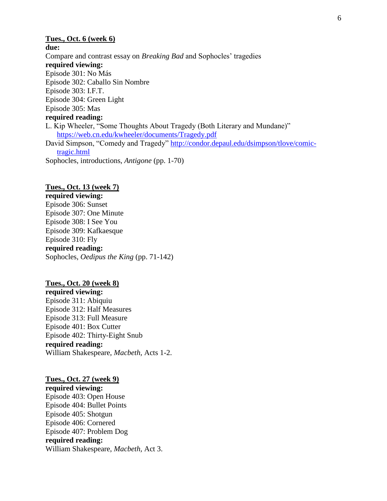## **Tues., Oct. 6 (week 6) due:** Compare and contrast essay on *Breaking Bad* and Sophocles' tragedies **required viewing:** Episode 301: No Más Episode 302: Caballo Sin Nombre Episode 303: I.F.T. Episode 304: Green Light Episode 305: Mas **required reading:** L. Kip Wheeler, "Some Thoughts About Tragedy (Both Literary and Mundane)" <https://web.cn.edu/kwheeler/documents/Tragedy.pdf> David Simpson, "Comedy and Tragedy" [http://condor.depaul.edu/dsimpson/tlove/comic](http://condor.depaul.edu/dsimpson/tlove/comic-tragic.html)[tragic.html](http://condor.depaul.edu/dsimpson/tlove/comic-tragic.html) Sophocles, introductions, *Antigone* (pp. 1-70)

#### **Tues., Oct. 13 (week 7)**

**required viewing:** Episode 306: Sunset Episode 307: One Minute Episode 308: I See You Episode 309: Kafkaesque Episode 310: Fly **required reading:** Sophocles, *Oedipus the King* (pp. 71-142)

#### **Tues., Oct. 20 (week 8)**

**required viewing:** Episode 311: Abiquiu Episode 312: Half Measures Episode 313: Full Measure Episode 401: Box Cutter Episode 402: Thirty-Eight Snub **required reading:** William Shakespeare, *Macbeth,* Acts 1-2.

#### **Tues., Oct. 27 (week 9)**

**required viewing:** Episode 403: Open House Episode 404: Bullet Points Episode 405: Shotgun Episode 406: Cornered Episode 407: Problem Dog **required reading:** William Shakespeare, *Macbeth,* Act 3.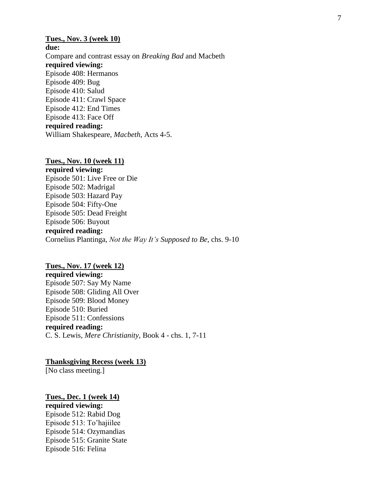## **Tues., Nov. 3 (week 10) due:** Compare and contrast essay on *Breaking Bad* and Macbeth **required viewing:** Episode 408: Hermanos Episode 409: Bug Episode 410: Salud Episode 411: Crawl Space Episode 412: End Times Episode 413: Face Off **required reading:** William Shakespeare, *Macbeth,* Acts 4-5.

#### **Tues., Nov. 10 (week 11)**

**required viewing:** Episode 501: Live Free or Die Episode 502: Madrigal Episode 503: Hazard Pay Episode 504: Fifty-One Episode 505: Dead Freight Episode 506: Buyout **required reading:** Cornelius Plantinga, *Not the Way It's Supposed to Be,* chs. 9-10

## **Tues., Nov. 17 (week 12)**

**required viewing:** Episode 507: Say My Name Episode 508: Gliding All Over Episode 509: Blood Money Episode 510: Buried Episode 511: Confessions **required reading:** C. S. Lewis, *Mere Christianity,* Book 4 - chs. 1, 7-11

**Thanksgiving Recess (week 13)**

[No class meeting.]

#### **Tues., Dec. 1 (week 14)**

**required viewing:** Episode 512: Rabid Dog Episode 513: To'hajiilee Episode 514: Ozymandias Episode 515: Granite State Episode 516: Felina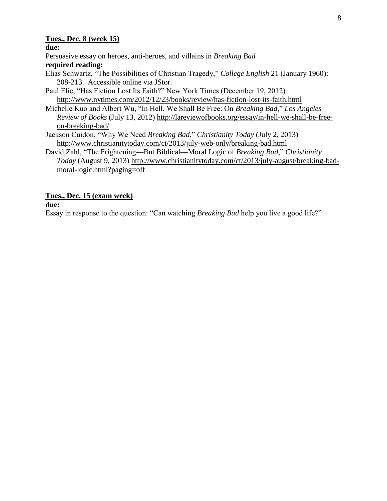## **Tues., Dec. 8 (week 15)**

**due:**

Persuasive essay on heroes, anti-heroes, and villains in *Breaking Bad*

## **required reading:**

- Elias Schwartz, "The Possibilities of Christian Tragedy," *College English* 21 (January 1960): 208-213. Accessible online via JStor.
- Paul Elie, "Has Fiction Lost Its Faith?" New York Times (December 19, 2012) <http://www.nytimes.com/2012/12/23/books/review/has-fiction-lost-its-faith.html>
- Michelle Kuo and Albert Wu, "In Hell, We Shall Be Free: On *Breaking Bad*," *Los Angeles Review of Books* (July 13, 2012) [http://lareviewofbooks.org/essay/in-hell-we-shall-be-free](http://lareviewofbooks.org/essay/in-hell-we-shall-be-free-on-breaking-bad/)[on-breaking-bad/](http://lareviewofbooks.org/essay/in-hell-we-shall-be-free-on-breaking-bad/)
- Jackson Cuidon, "Why We Need *Breaking Bad*," *Christianity Today* (July 2, 2013) <http://www.christianitytoday.com/ct/2013/july-web-only/breaking-bad.html>
- David Zahl, "The Frightening—But Biblical—Moral Logic of *Breaking Bad*," *Christianity Today* (August 9, 2013) [http://www.christianitytoday.com/ct/2013/july-august/breaking-bad](http://www.christianitytoday.com/ct/2013/july-august/breaking-bad-moral-logic.html?paging=off)[moral-logic.html?paging=off](http://www.christianitytoday.com/ct/2013/july-august/breaking-bad-moral-logic.html?paging=off)

# **Tues., Dec. 15 (exam week)**

## **due:**

Essay in response to the question: "Can watching *Breaking Bad* help you live a good life?"